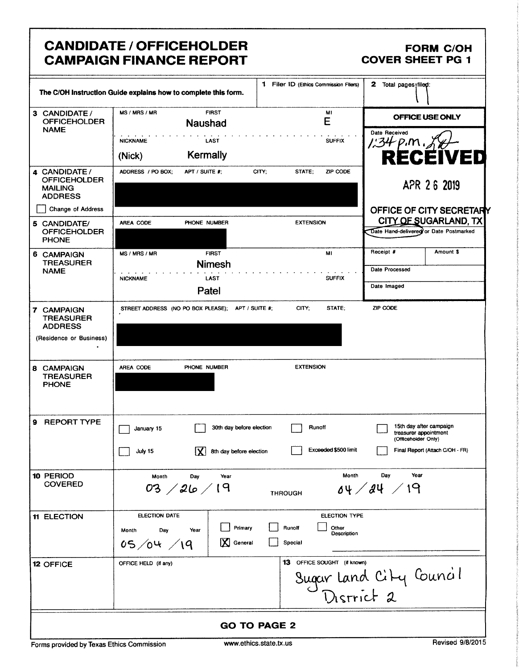## CANDIDATE / OFFICEHOLDER FORM C/OH<br>CAMPAIGN FINANCE REPORT COVER SHEET PG 1 **CAMPAIGN FINANCE REPORT**

|                                                                          | The C/OH Instruction Guide explains how to complete this form.              | 1 Filer ID (Ethics Commission Filers)                             | 2 Total pages <sub>lilep</sub> :                                        |
|--------------------------------------------------------------------------|-----------------------------------------------------------------------------|-------------------------------------------------------------------|-------------------------------------------------------------------------|
| 3 CANDIDATE /<br><b>OFFICEHOLDER</b><br><b>NAME</b>                      | MS / MRS / MR<br><b>FIRST</b><br><b>Naushad</b>                             | M1<br>E                                                           | OFFICE USE ONLY                                                         |
|                                                                          | <b>NICKNAME</b><br>LAST                                                     | <b>SUFFIX</b>                                                     | Date Received                                                           |
|                                                                          | Kermally<br>(Nick)                                                          |                                                                   | <b>RECEIVED</b>                                                         |
| 4 CANDIDATE /<br><b>OFFICEHOLDER</b><br><b>MAILING</b><br><b>ADDRESS</b> | ADDRESS / PO BOX:<br>APT / SUITE #;                                         | <b>ZIP CODE</b><br>CITY;<br>STATE;                                | APR 26 2019                                                             |
| <b>Change of Address</b>                                                 |                                                                             |                                                                   | OFFICE OF CITY SECRETARY                                                |
| 5 CANDIDATE/<br><b>OFFICEHOLDER</b><br><b>PHONE</b>                      | AREA CODE<br>PHONE NUMBER                                                   | <b>EXTENSION</b>                                                  | CITY OF SUGARLAND, TX<br>Date Hand-delivered or Date Postmarked         |
| 6 CAMPAIGN<br>TREASURER                                                  | MS / MRS / MR<br><b>FIRST</b><br><b>Nimesh</b>                              | MI                                                                | Receipt #<br>Amount \$                                                  |
| <b>NAME</b>                                                              | <b>NICKNAME</b><br><b>LAST</b>                                              | <b>SUFFIX</b>                                                     | Date Processed                                                          |
|                                                                          | Patel                                                                       |                                                                   | Date Imaged                                                             |
| 7 CAMPAIGN<br><b>TREASURER</b><br><b>ADDRESS</b>                         | STREET ADDRESS (NO PO BOX PLEASE); APT / SUITE #;                           | CITY;<br>STATE:                                                   | ZIP CODE                                                                |
| (Residence or Business)                                                  |                                                                             |                                                                   |                                                                         |
| 8 CAMPAIGN<br><b>TREASURER</b><br><b>PHONE</b>                           | AREA CODE<br>PHONE NUMBER                                                   | <b>EXTENSION</b>                                                  |                                                                         |
| <b>REPORT TYPE</b><br>9                                                  | 30th day before election<br>January 15                                      | Runoff                                                            | 15th day after campaign<br>treasurer appointment<br>(Officeholder Only) |
|                                                                          | ⊻।<br>8th day before election<br>July 15                                    | Exceeded \$500 limit                                              | Final Report (Attach C/OH - FR)                                         |
| 10 PERIOD<br><b>COVERED</b>                                              | Day<br>Month<br>Year<br>03 $/26/19$                                         | Month<br><b>THROUGH</b>                                           | Year<br>Day<br>64 / 24 / 19                                             |
| <b>11 ELECTION</b>                                                       | ELECTION DATE<br>Primary<br>Month<br>Day<br>Year<br>X General<br>05/04 / 19 | <b>ELECTION TYPE</b><br>Runoff<br>Other<br>Description<br>Special |                                                                         |
| 12 OFFICE                                                                | OFFICE HELD (if any)                                                        | 13 OFFICE SOUGHT (if known)                                       | Sugar Land City Council                                                 |
|                                                                          |                                                                             | <b>GO TO PAGE 2</b>                                               |                                                                         |

Forms provided by Texas Ethics Commission www.ethics.state.tx.us Revised 9/8/2015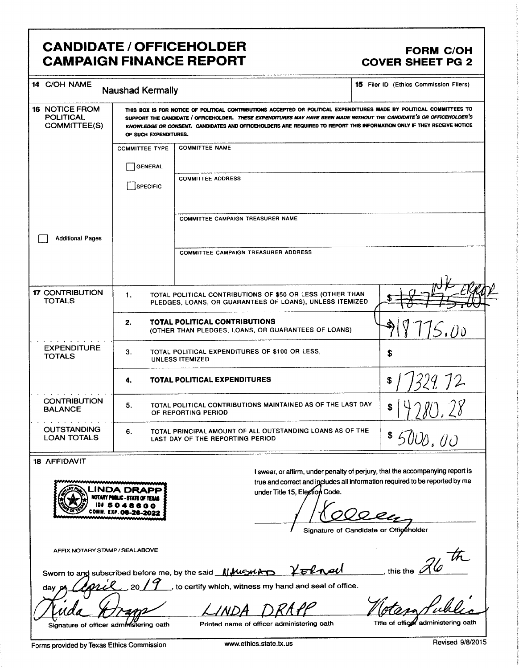## **CANDIDATE / OFFICEHOLDER CAMPAIGN FINANCE REPORT**

### **FORM C/OH COVER SHEET PG 2**

| 14 C/OH NAME                                                                                                                                                                                                                                                                                                                       | <b>Naushad Kermally</b>                                                                                                                                                                                                                                                                                                                                                                          |                                                                                                                       | 15 Filer ID (Ethics Commission Filers) |
|------------------------------------------------------------------------------------------------------------------------------------------------------------------------------------------------------------------------------------------------------------------------------------------------------------------------------------|--------------------------------------------------------------------------------------------------------------------------------------------------------------------------------------------------------------------------------------------------------------------------------------------------------------------------------------------------------------------------------------------------|-----------------------------------------------------------------------------------------------------------------------|----------------------------------------|
| <b>16 NOTICE FROM</b><br><b>POLITICAL</b><br>COMMITTEE(S)                                                                                                                                                                                                                                                                          | THIS BOX IS FOR NOTICE OF POLITICAL CONTRIBUTIONS ACCEPTED OR POLITICAL EXPENDITURES MADE BY POLITICAL COMMITTEES TO<br>SUPPORT THE CANDIDATE / OFFICEHOLDER. THESE EXPENDITURES MAY HAVE BEEN MADE WITHOUT THE CANDIDATE'S OR OFFICEHOLDER'S<br>KNOWLEDGE OR CONSENT. CANDIDATES AND OFFICEHOLDERS ARE REQUIRED TO REPORT THIS INFORMATION ONLY IF THEY RECEIVE NOTICE<br>OF SUCH EXPENDITURES. |                                                                                                                       |                                        |
|                                                                                                                                                                                                                                                                                                                                    | <b>COMMITTEE TYPE</b>                                                                                                                                                                                                                                                                                                                                                                            | <b>COMMITTEE NAME</b>                                                                                                 |                                        |
|                                                                                                                                                                                                                                                                                                                                    | <b>GENERAL</b>                                                                                                                                                                                                                                                                                                                                                                                   |                                                                                                                       |                                        |
|                                                                                                                                                                                                                                                                                                                                    | <b>SPECIFIC</b>                                                                                                                                                                                                                                                                                                                                                                                  | <b>COMMITTEE ADDRESS</b>                                                                                              |                                        |
|                                                                                                                                                                                                                                                                                                                                    |                                                                                                                                                                                                                                                                                                                                                                                                  | COMMITTEE CAMPAIGN TREASURER NAME                                                                                     |                                        |
| <b>Additional Pages</b>                                                                                                                                                                                                                                                                                                            |                                                                                                                                                                                                                                                                                                                                                                                                  |                                                                                                                       |                                        |
|                                                                                                                                                                                                                                                                                                                                    |                                                                                                                                                                                                                                                                                                                                                                                                  | <b>COMMITTEE CAMPAIGN TREASURER ADDRESS</b>                                                                           |                                        |
|                                                                                                                                                                                                                                                                                                                                    |                                                                                                                                                                                                                                                                                                                                                                                                  |                                                                                                                       |                                        |
| <b>17 CONTRIBUTION</b><br><b>TOTALS</b>                                                                                                                                                                                                                                                                                            | 1.                                                                                                                                                                                                                                                                                                                                                                                               | TOTAL POLITICAL CONTRIBUTIONS OF \$50 OR LESS (OTHER THAN<br>PLEDGES, LOANS, OR GUARANTEES OF LOANS), UNLESS ITEMIZED |                                        |
|                                                                                                                                                                                                                                                                                                                                    | 2.                                                                                                                                                                                                                                                                                                                                                                                               | <b>TOTAL POLITICAL CONTRIBUTIONS</b><br>(OTHER THAN PLEDGES, LOANS, OR GUARANTEES OF LOANS)                           | S.n <sub>D</sub>                       |
| <b>EXPENDITURE</b><br><b>TOTALS</b>                                                                                                                                                                                                                                                                                                | 3.<br>TOTAL POLITICAL EXPENDITURES OF \$100 OR LESS,<br>\$<br><b>UNLESS ITEMIZED</b>                                                                                                                                                                                                                                                                                                             |                                                                                                                       |                                        |
|                                                                                                                                                                                                                                                                                                                                    | 4.                                                                                                                                                                                                                                                                                                                                                                                               | TOTAL POLITICAL EXPENDITURES                                                                                          | 329.72                                 |
| <b>CONTRIBUTION</b><br><b>BALANCE</b>                                                                                                                                                                                                                                                                                              | TOTAL POLITICAL CONTRIBUTIONS MAINTAINED AS OF THE LAST DAY<br>5.<br>OF REPORTING PERIOD                                                                                                                                                                                                                                                                                                         |                                                                                                                       | 80.28                                  |
| <b>OUTSTANDING</b><br><b>LOAN TOTALS</b>                                                                                                                                                                                                                                                                                           | TOTAL PRINCIPAL AMOUNT OF ALL OUTSTANDING LOANS AS OF THE<br>6.<br>\$5000.00<br>LAST DAY OF THE REPORTING PERIOD                                                                                                                                                                                                                                                                                 |                                                                                                                       |                                        |
| $\mathbf{A}$ $\mathbf{A}$ $\mathbf{A}$ $\mathbf{A}$ $\mathbf{A}$ $\mathbf{A}$ $\mathbf{A}$ $\mathbf{A}$ $\mathbf{A}$ $\mathbf{A}$ $\mathbf{A}$ $\mathbf{A}$ $\mathbf{A}$ $\mathbf{A}$ $\mathbf{A}$ $\mathbf{A}$ $\mathbf{A}$ $\mathbf{A}$ $\mathbf{A}$ $\mathbf{A}$ $\mathbf{A}$ $\mathbf{A}$ $\mathbf{A}$ $\mathbf{A}$ $\mathbf{$ |                                                                                                                                                                                                                                                                                                                                                                                                  |                                                                                                                       |                                        |

### **18 AFFIDAVIT**

day



I swear, or affirm, under penalty of perjury, that the accompanying report is true and correct and includes all information required to be reported by me under Title 15, Election Code.

llz

Volved

Signature of Candidate or Officeholder

AFFIX NOTARY STAMP / SEALABOVE

Sworn to and subscribed before me, by the said **We with** 

to certify which, witness my hand and seal of office.

Signature of officer administering oath

Printed name of officer administering oath

Title of office administering oath

, this the  $\mathcal{A}\!\!\!\!/\,\mathscr{C}$ 

Forms provided by Texas Ethics Commission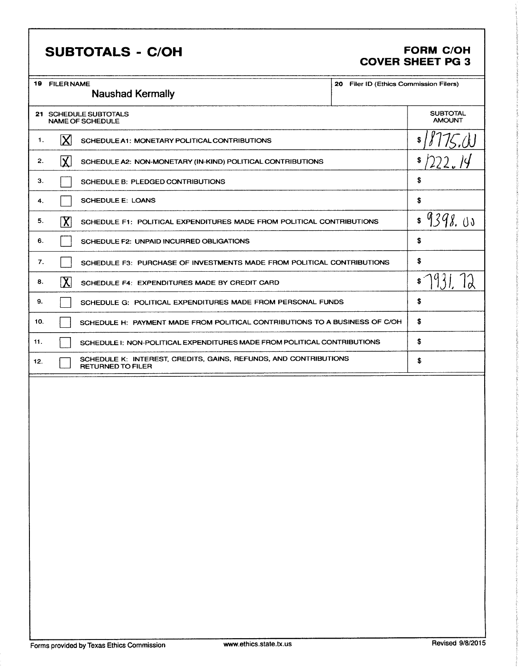## SUBTOTALS - C/OH FORM C/OH

## COVER SHEET PG 3

|                                                                                                                                            | <b>FORM C/OH</b>                                                  |
|--------------------------------------------------------------------------------------------------------------------------------------------|-------------------------------------------------------------------|
|                                                                                                                                            | <b>COVER SHEET PG 3</b><br>20 Filer ID (Ethics Commission Filers) |
|                                                                                                                                            | SUBTOTAL<br>AMOUNT                                                |
| $\vert \chi \vert$ SCHEDULE A1: MONETARY POLITICAL CONTRIBUTIONS                                                                           | 1/175.0                                                           |
| $\chi$ SCHEDULE A2: NON-MONETARY (IN-KIND) POLITICAL CONTRIBUTIONS<br>SCHEDULE B: PLEDGED CONTRIBUTIONS                                    | $1$ \$/222.14                                                     |
|                                                                                                                                            |                                                                   |
| $\boxed{\text{X}}$ SCHEDULE F1: POLITICAL EXPENDITURES MADE FROM POLITICAL CONTRIBUTIONS                                                   | \$ 9398.00                                                        |
| SCHEDULE F2: UNPAID INCURRED OBLIGATIONS<br>SCHEDULE F3: PURCHASE OF INVESTMENTS MADE FROM POLITICAL CONTRIBUTIONS                         |                                                                   |
| $\sum$ SCHEDULE F4: EXPENDITURES MADE BY CREDIT CARD                                                                                       | $\sqrt{931.72}$                                                   |
| SCHEDULE G: POLITICAL EXPENDITURES MADE FROM PERSONAL FUNDS<br>SCHEDULE H: PAYMENT MADE FROM POLITICAL CONTRIBUTIONS TO A BUSINESS OF C/OH |                                                                   |
| SCHEDULE 1: NON-POLITICAL EXPENDITURES MADE FROM POLITICAL CONTRIBUTIONS                                                                   |                                                                   |
| SCHEDULE K: INTEREST, CREDITS, GAINS, REFUNDS, AND CONTRIBUTIONS<br>RETURNED TO FILER                                                      |                                                                   |
|                                                                                                                                            |                                                                   |
|                                                                                                                                            |                                                                   |
|                                                                                                                                            |                                                                   |
|                                                                                                                                            |                                                                   |
|                                                                                                                                            |                                                                   |
|                                                                                                                                            |                                                                   |
|                                                                                                                                            |                                                                   |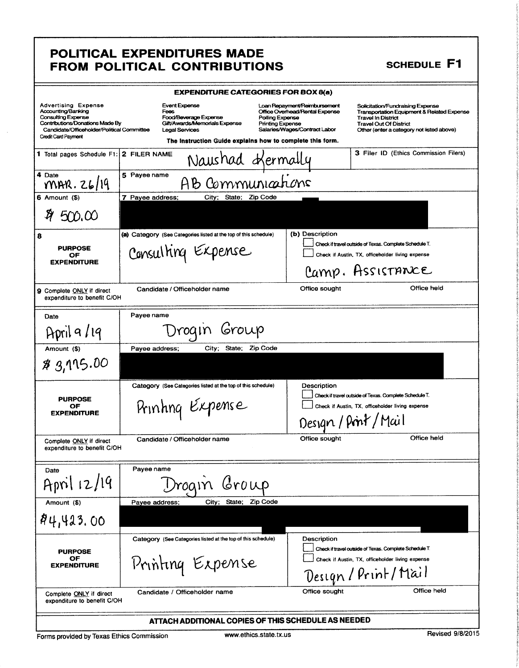#### POLITICAL EXPENDITURES MADE OL ITIO AS **ONTPIRIITIONS FROM**  $\blacksquare$

|                                                                                                                                                                                              | <b>FROM POLITICAL CONTRIBUTIONS</b>                                                                                                                                   |                                                                                                                                               | <b>SCHEDULE F1</b>                                                                                                                                                                        |
|----------------------------------------------------------------------------------------------------------------------------------------------------------------------------------------------|-----------------------------------------------------------------------------------------------------------------------------------------------------------------------|-----------------------------------------------------------------------------------------------------------------------------------------------|-------------------------------------------------------------------------------------------------------------------------------------------------------------------------------------------|
|                                                                                                                                                                                              | <b>EXPENDITURE CATEGORIES FOR BOX 8(a)</b>                                                                                                                            |                                                                                                                                               |                                                                                                                                                                                           |
| <b>Advertising Expense</b><br>Accounting/Banking<br><b>Consulting Expense</b><br>Contributions/Donations Made By<br>Candidate/Officeholder/Political Committee<br><b>Credit Card Payment</b> | <b>Event Expense</b><br>Fees<br>Food/Beverage Expense<br>Gift/Awards/Memorials Expense<br>Legal Services<br>The instruction Guide explains how to complete this form. | Loan Repayment/Reimbursement<br>Office Overhead/Rental Expense<br>Polling Expense<br><b>Printing Expense</b><br>Salaries/Wages/Contract Labor | Solicitation/Fundraising Expense<br>Transportation Equipment & Related Expense<br><b>Travel In District</b><br><b>Travel Out Of District</b><br>Other (enter a category not listed above) |
| 1 Total pages Schedule F1: 2 FILER NAME                                                                                                                                                      |                                                                                                                                                                       |                                                                                                                                               | 3 Filer ID (Ethics Commission Filers)                                                                                                                                                     |
|                                                                                                                                                                                              | Naushad oXermally                                                                                                                                                     |                                                                                                                                               |                                                                                                                                                                                           |
| 4 Date<br>MAR. 26/19                                                                                                                                                                         | 5 Payee name<br>B Communications                                                                                                                                      |                                                                                                                                               |                                                                                                                                                                                           |
| $6$ Amount $($ )                                                                                                                                                                             | 7 Payee address;<br>City; State; Zip Code                                                                                                                             |                                                                                                                                               |                                                                                                                                                                                           |
| 500.00                                                                                                                                                                                       |                                                                                                                                                                       |                                                                                                                                               |                                                                                                                                                                                           |
| 8                                                                                                                                                                                            | (a) Category (See Categories listed at the top of this schedule)                                                                                                      | (b) Description                                                                                                                               |                                                                                                                                                                                           |
| <b>PURPOSE</b><br>OF<br><b>EXPENDITURE</b>                                                                                                                                                   | Consulting Expense                                                                                                                                                    |                                                                                                                                               | Check if travel outside of Texas. Complete Schedule T.<br>Check if Austin, TX, officeholder living expense                                                                                |
|                                                                                                                                                                                              |                                                                                                                                                                       |                                                                                                                                               | Camp. AssisTANCE                                                                                                                                                                          |
| <b>9</b> Complete ONLY if direct<br>expenditure to benefit C/OH                                                                                                                              | Candidate / Officeholder name                                                                                                                                         | Office sought                                                                                                                                 | Office held                                                                                                                                                                               |
| Date                                                                                                                                                                                         | Payee name                                                                                                                                                            |                                                                                                                                               |                                                                                                                                                                                           |
| April 9/19                                                                                                                                                                                   | sroup<br>roqir                                                                                                                                                        |                                                                                                                                               |                                                                                                                                                                                           |
| Amount (\$)                                                                                                                                                                                  | <b>Zip Code</b><br>City; State;<br>Payee address;                                                                                                                     |                                                                                                                                               |                                                                                                                                                                                           |
| \$ 3,115.00                                                                                                                                                                                  |                                                                                                                                                                       |                                                                                                                                               |                                                                                                                                                                                           |
|                                                                                                                                                                                              | Category (See Categories listed at the top of this schedule)                                                                                                          | Description                                                                                                                                   |                                                                                                                                                                                           |
| <b>PURPOSE</b><br>OF                                                                                                                                                                         |                                                                                                                                                                       |                                                                                                                                               | Check if travel outside of Texas. Complete Schedule T.<br>Check if Austin, TX, officeholder living expense                                                                                |
| <b>EXPENDITURE</b>                                                                                                                                                                           | Printing Expense                                                                                                                                                      |                                                                                                                                               |                                                                                                                                                                                           |
|                                                                                                                                                                                              |                                                                                                                                                                       |                                                                                                                                               | Design / Print / Mail                                                                                                                                                                     |
| Complete ONLY if direct<br>expenditure to benefit C/OH                                                                                                                                       | Candidate / Officeholder name                                                                                                                                         | Office sought                                                                                                                                 | Office held                                                                                                                                                                               |
| Date                                                                                                                                                                                         | Payee name                                                                                                                                                            |                                                                                                                                               |                                                                                                                                                                                           |
| April 12/19                                                                                                                                                                                  | $G$ r $0 \uplus$<br>Iroal                                                                                                                                             |                                                                                                                                               |                                                                                                                                                                                           |
| Amount (\$)                                                                                                                                                                                  | <b>Zip Code</b><br>City; State;<br>Payee address;                                                                                                                     |                                                                                                                                               |                                                                                                                                                                                           |
| 84,423.00                                                                                                                                                                                    |                                                                                                                                                                       |                                                                                                                                               |                                                                                                                                                                                           |
|                                                                                                                                                                                              | Category (See Categories listed at the top of this schedule)                                                                                                          | Description                                                                                                                                   |                                                                                                                                                                                           |
| <b>PURPOSE</b><br>OF                                                                                                                                                                         |                                                                                                                                                                       |                                                                                                                                               | Check if travel outside of Texas. Complete Schedule T.<br>Check if Austin, TX, officeholder living expense                                                                                |
| <b>EXPENDITURE</b>                                                                                                                                                                           | Printing Expense                                                                                                                                                      |                                                                                                                                               | Design / Print/Mail                                                                                                                                                                       |
| Complete ONLY if direct                                                                                                                                                                      | Candidate / Officeholder name                                                                                                                                         | Office sought                                                                                                                                 | Office held                                                                                                                                                                               |

ATTACH ADDITIONAL COPIES OF THIS SCHEDULE AS NEEDED

Forms provided by Texas Ethics Commission

expenditure to benefit C/OH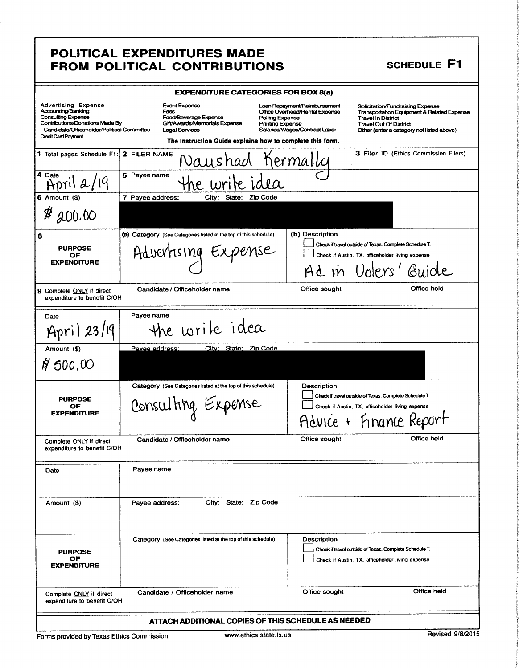## POLITICAL EXPENDITURES MADE FROM POLITICAL CONTRIBUTIONS SCHEDULE F1

|                                                                                                                                                                                              | <b>EXPENDITURE CATEGORIES FOR BOX 8(a)</b>                                                                                                                                                                          |                                                                                                 |                                                                                                                                                                                           |
|----------------------------------------------------------------------------------------------------------------------------------------------------------------------------------------------|---------------------------------------------------------------------------------------------------------------------------------------------------------------------------------------------------------------------|-------------------------------------------------------------------------------------------------|-------------------------------------------------------------------------------------------------------------------------------------------------------------------------------------------|
| <b>Advertising Expense</b><br>Accounting/Banking<br><b>Consulting Expense</b><br>Contributions/Donations Made By<br>Candidate/Officeholder/Political Committee<br><b>Credit Card Payment</b> | <b>Event Expense</b><br>Fees<br>Food/Beverage Expense<br>Polling Expense<br>Gift/Awards/Memorials Expense<br><b>Printing Expense</b><br>Legal Services<br>The Instruction Guide explains how to complete this form. | Loan Repayment/Reimbursement<br>Office Overhead/Rental Expense<br>Salaries/Wages/Contract Labor | Solicitation/Fundraising Expense<br>Transportation Equipment & Related Expense<br><b>Travel In District</b><br><b>Travel Out Of District</b><br>Other (enter a category not listed above) |
| 1 Total pages Schedule F1: 2 FILER NAME                                                                                                                                                      | Vau shad                                                                                                                                                                                                            | hermallu                                                                                        | 3 Filer ID (Ethics Commission Filers)                                                                                                                                                     |
| 4 Date<br>112/19                                                                                                                                                                             | 5 Payee name                                                                                                                                                                                                        |                                                                                                 |                                                                                                                                                                                           |
| $6$ Amount $($)$                                                                                                                                                                             | 7 Payee address;<br>State:<br>Zip Code<br>City;                                                                                                                                                                     |                                                                                                 |                                                                                                                                                                                           |
| \$<br>200.00                                                                                                                                                                                 |                                                                                                                                                                                                                     |                                                                                                 |                                                                                                                                                                                           |
| 8                                                                                                                                                                                            | (a) Category (See Categories listed at the top of this schedule)                                                                                                                                                    | (b) Description                                                                                 | Check if travel outside of Texas. Complete Schedule T.                                                                                                                                    |
| <b>PURPOSE</b><br>OF                                                                                                                                                                         | Advertising Exper<br>nse                                                                                                                                                                                            |                                                                                                 | Check if Austin, TX, officeholder living expense                                                                                                                                          |
| <b>EXPENDITURE</b>                                                                                                                                                                           |                                                                                                                                                                                                                     |                                                                                                 | Ad in Volers' Guide                                                                                                                                                                       |
| 9 Complete ONLY if direct<br>expenditure to benefit C/OH                                                                                                                                     | Candidate / Officeholder name                                                                                                                                                                                       | Office sought                                                                                   | Office held                                                                                                                                                                               |
| Date                                                                                                                                                                                         | Payee name                                                                                                                                                                                                          |                                                                                                 |                                                                                                                                                                                           |
| April 23/19                                                                                                                                                                                  | re write idea                                                                                                                                                                                                       |                                                                                                 |                                                                                                                                                                                           |
| Amount (\$)                                                                                                                                                                                  | City: State: Zip Code<br>Pavee address:                                                                                                                                                                             |                                                                                                 |                                                                                                                                                                                           |
| \$1,000,00                                                                                                                                                                                   |                                                                                                                                                                                                                     |                                                                                                 |                                                                                                                                                                                           |
|                                                                                                                                                                                              | Category (See Categories listed at the top of this schedule)                                                                                                                                                        | Description                                                                                     |                                                                                                                                                                                           |
| <b>PURPOSE</b><br>OF                                                                                                                                                                         | Consulting Expense                                                                                                                                                                                                  |                                                                                                 | Check if travel outside of Texas. Complete Schedule T.<br>Check if Austin, TX, officeholder living expense                                                                                |
| <b>EXPENDITURE</b>                                                                                                                                                                           |                                                                                                                                                                                                                     |                                                                                                 | Advice + Finance Report                                                                                                                                                                   |
| Complete ONLY if direct<br>expenditure to benefit C/OH                                                                                                                                       | Candidate / Officeholder name                                                                                                                                                                                       | Office sought                                                                                   | Office held                                                                                                                                                                               |
| Date                                                                                                                                                                                         | Payee name                                                                                                                                                                                                          |                                                                                                 |                                                                                                                                                                                           |
|                                                                                                                                                                                              |                                                                                                                                                                                                                     |                                                                                                 |                                                                                                                                                                                           |
| Amount (\$)                                                                                                                                                                                  | City; State; Zip Code<br>Payee address;                                                                                                                                                                             |                                                                                                 |                                                                                                                                                                                           |
| <b>PURPOSE</b><br>ОF<br><b>EXPENDITURE</b>                                                                                                                                                   | Category (See Categories listed at the top of this schedule)                                                                                                                                                        | Description                                                                                     | Check if travel outside of Texas. Complete Schedule T.<br>Check if Austin, TX, officeholder living expense                                                                                |
| Complete ONLY if direct<br>expenditure to benefit C/OH                                                                                                                                       | Candidate / Officeholder name                                                                                                                                                                                       | Office sought                                                                                   | Office held                                                                                                                                                                               |
|                                                                                                                                                                                              | ATTACH ADDITIONAL COPIES OF THIS SCHEDULE AS NEEDED                                                                                                                                                                 |                                                                                                 |                                                                                                                                                                                           |

Forms provided by Texas Ethics Commission www.ethics.state.tx.us Revised 9/8/2015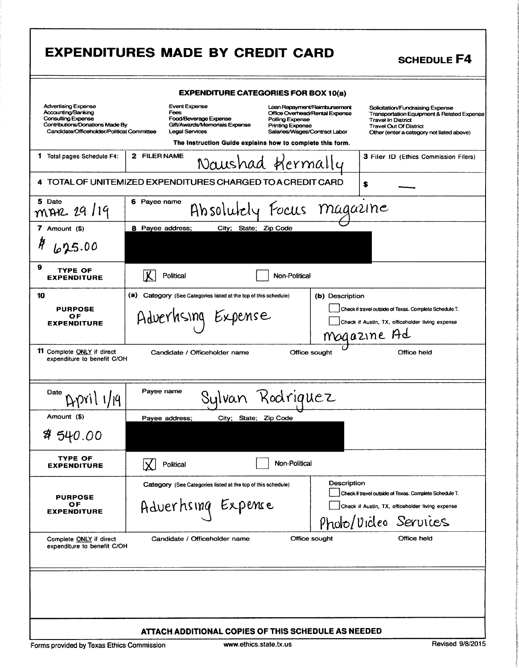|                                                                                                                                                         | <b>EXPENDITURES MADE BY CREDIT CARD</b><br><b>SCHEDULE F4</b>                                                                                                                                                                                                                                                                                                                                                                                                                                                              |
|---------------------------------------------------------------------------------------------------------------------------------------------------------|----------------------------------------------------------------------------------------------------------------------------------------------------------------------------------------------------------------------------------------------------------------------------------------------------------------------------------------------------------------------------------------------------------------------------------------------------------------------------------------------------------------------------|
|                                                                                                                                                         | <b>EXPENDITURE CATEGORIES FOR BOX 10(a)</b>                                                                                                                                                                                                                                                                                                                                                                                                                                                                                |
| <b>Advertising Expense</b><br>Accounting/Banking<br>Consulting Expense<br>Contributions/Donations Made By<br>Candidate/Officeholder/Political Committee | <b>Event Expense</b><br>Loan Repayment/Reimbursement<br>Solicitation/Fundraising Expense<br>Fees<br>Office Overhead/Rental Expense<br>Transportation Equipment & Related Expense<br>Food/Beverage Expense<br>Polling Expense<br><b>Travel In District</b><br>Gift/Awards/Memorials Expense<br><b>Printing Expense</b><br><b>Travel Out Of District</b><br><b>Legal Services</b><br>Salaries/Wages/Contract Labor<br>Other (enter a category not listed above)<br>The Instruction Guide explains how to complete this form. |
| 1 Total pages Schedule F4:                                                                                                                              | 2 FILER NAME<br><b>3 Filer ID (Ethics Commission Filers)</b><br>Naushad Hermally                                                                                                                                                                                                                                                                                                                                                                                                                                           |
|                                                                                                                                                         | 4 TOTAL OF UNITEMIZED EXPENDITURES CHARGED TO A CREDIT CARD<br>s                                                                                                                                                                                                                                                                                                                                                                                                                                                           |
| 5 Date<br>mAR 29/19                                                                                                                                     | 6 Payee name<br>Absolutely Focus magazine                                                                                                                                                                                                                                                                                                                                                                                                                                                                                  |
| 7 Amount (\$)<br>Ħ<br>625.00                                                                                                                            | 8 Payee address;<br>City; State; Zip Code                                                                                                                                                                                                                                                                                                                                                                                                                                                                                  |
| 9<br><b>TYPE OF</b><br><b>EXPENDITURE</b>                                                                                                               | <b>Political</b><br>Non-Political                                                                                                                                                                                                                                                                                                                                                                                                                                                                                          |
| 10<br><b>PURPOSE</b><br>ОF<br><b>EXPENDITURE</b>                                                                                                        | (a) Category (See Categories listed at the top of this schedule)<br>(b) Description<br>Check if travel outside of Texas. Complete Schedule T.<br>Adverhising Expense<br>Check if Austin, TX, officeholder living expense<br>Magazine Ad                                                                                                                                                                                                                                                                                    |
| <b>11</b> Complete ONLY if direct<br>expenditure to benefit C/OH                                                                                        | Candidate / Officeholder name<br>Office sought<br>Office held                                                                                                                                                                                                                                                                                                                                                                                                                                                              |
| Date                                                                                                                                                    | Payee name<br>Sulvan Rodriquez                                                                                                                                                                                                                                                                                                                                                                                                                                                                                             |
| Amount (\$)                                                                                                                                             | City; State; Zip Code<br>Payee address;                                                                                                                                                                                                                                                                                                                                                                                                                                                                                    |
| ห 540.00                                                                                                                                                |                                                                                                                                                                                                                                                                                                                                                                                                                                                                                                                            |
| TYPE OF<br><b>EXPENDITURE</b>                                                                                                                           | Non-Political<br>Political                                                                                                                                                                                                                                                                                                                                                                                                                                                                                                 |
| <b>PURPOSE</b><br>ОF<br><b>EXPENDITURE</b>                                                                                                              | Description<br>Category (See Categories listed at the top of this schedule)<br>Check if travel outside of Texas. Complete Schedule T.<br>Adverhsing Expense<br>Check if Austin, TX, officeholder living expense<br>Phobo/Vicleo Services                                                                                                                                                                                                                                                                                   |
| Complete ONLY if direct<br>expenditure to benefit C/OH                                                                                                  | Office held<br>Office sought<br>Candidate / Officeholder name                                                                                                                                                                                                                                                                                                                                                                                                                                                              |
|                                                                                                                                                         |                                                                                                                                                                                                                                                                                                                                                                                                                                                                                                                            |
|                                                                                                                                                         | ATTACH ADDITIONAL COPIES OF THIS SCHEDULE AS NEEDED<br>$\mathbf{r}$ $\mathbf{r}$ $\mathbf{r}$                                                                                                                                                                                                                                                                                                                                                                                                                              |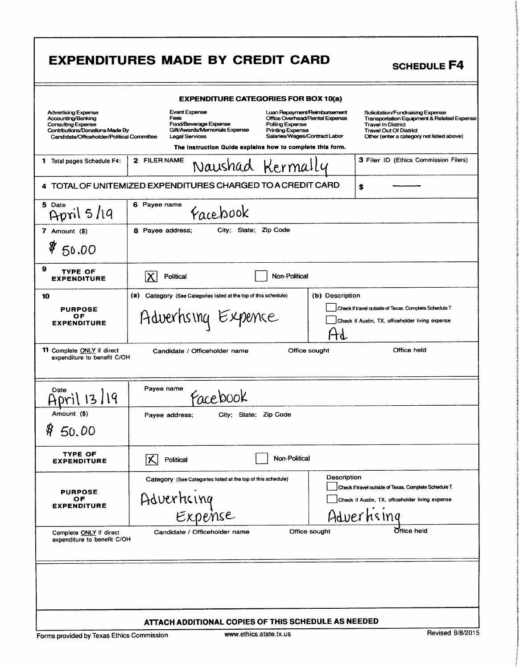|                                                                                                                                                                | <b>EXPENDITURE CATEGORIES FOR BOX 10(a)</b>                                                                                                                                                                                                                                                                                                                                                                                                                   |
|----------------------------------------------------------------------------------------------------------------------------------------------------------------|---------------------------------------------------------------------------------------------------------------------------------------------------------------------------------------------------------------------------------------------------------------------------------------------------------------------------------------------------------------------------------------------------------------------------------------------------------------|
| <b>Advertising Expense</b><br>Accounting/Banking<br><b>Consulting Expense</b><br>Contributions/Donations Made By<br>Candidate/Officeholder/Political Committee | <b>Event Expense</b><br>Loan Repayment/Reimbursement<br>Solicitation/Fundraising Expense<br>Fees<br>Office Overhead/Rental Expense<br>Transportation Equipment & Related Expense<br>Food/Beverage Expense<br>Polling Expense<br><b>Travel In District</b><br>Gift/Awards/Memorials Expense<br><b>Printing Expense</b><br><b>Travel Out Of District</b><br><b>Legal Services</b><br>Salaries/Wages/Contract Labor<br>Other (enter a category not listed above) |
| 1 Total pages Schedule F4:                                                                                                                                     | The Instruction Guide explains how to complete this form.<br>3 Filer ID (Ethics Commission Filers)<br>2 FILER NAME<br>Naushad Kermally                                                                                                                                                                                                                                                                                                                        |
|                                                                                                                                                                | 4 TOTAL OF UNITEMIZED EXPENDITURES CHARGED TO A CREDIT CARD<br>S                                                                                                                                                                                                                                                                                                                                                                                              |
| 5 Date<br>April $5/19$                                                                                                                                         | 6 Payee name<br>Facebook                                                                                                                                                                                                                                                                                                                                                                                                                                      |
| 7 Amount (\$)                                                                                                                                                  | City: State; Zip Code<br>8 Payee address;                                                                                                                                                                                                                                                                                                                                                                                                                     |
| \$50.00                                                                                                                                                        |                                                                                                                                                                                                                                                                                                                                                                                                                                                               |
| 9<br><b>TYPE OF</b><br><b>EXPENDITURE</b>                                                                                                                      | ΙX<br>Non-Political<br>Political                                                                                                                                                                                                                                                                                                                                                                                                                              |
| 10                                                                                                                                                             | (b) Description<br>(a) Category (See Categories listed at the top of this schedule)                                                                                                                                                                                                                                                                                                                                                                           |
| <b>PURPOSE</b><br>OF.<br><b>EXPENDITURE</b>                                                                                                                    | Check if travel outside of Texas. Complete Schedule T.<br>Adverhsing Expence<br>Check if Austin, TX, officeholder living expense<br>ተፈ                                                                                                                                                                                                                                                                                                                        |
| 11 Complete ONLY if direct<br>expenditure to benefit C/OH                                                                                                      | Office held<br>Candidate / Officeholder name<br>Office sought                                                                                                                                                                                                                                                                                                                                                                                                 |
| Date<br>19<br>$\mathbf{z}$                                                                                                                                     | Payee name<br>Facebook                                                                                                                                                                                                                                                                                                                                                                                                                                        |
| Amount (\$)                                                                                                                                                    | City; State; Zip Code<br>Payee address;                                                                                                                                                                                                                                                                                                                                                                                                                       |
| 8<br>50.00                                                                                                                                                     |                                                                                                                                                                                                                                                                                                                                                                                                                                                               |
| <b>TYPE OF</b><br><b>EXPENDITURE</b>                                                                                                                           | Non-Political<br>ΙX<br>Political                                                                                                                                                                                                                                                                                                                                                                                                                              |
|                                                                                                                                                                |                                                                                                                                                                                                                                                                                                                                                                                                                                                               |
| <b>PURPOSE</b><br>ОF<br><b>EXPENDITURE</b>                                                                                                                     | Description<br>Category (See Categories listed at the top of this schedule)<br>Check if travel outside of Texas. Complete Schedule T.<br>Adverticing<br>Expense<br>Check if Austin, TX, officeholder living expense<br>Advertising                                                                                                                                                                                                                            |

1 i.

P i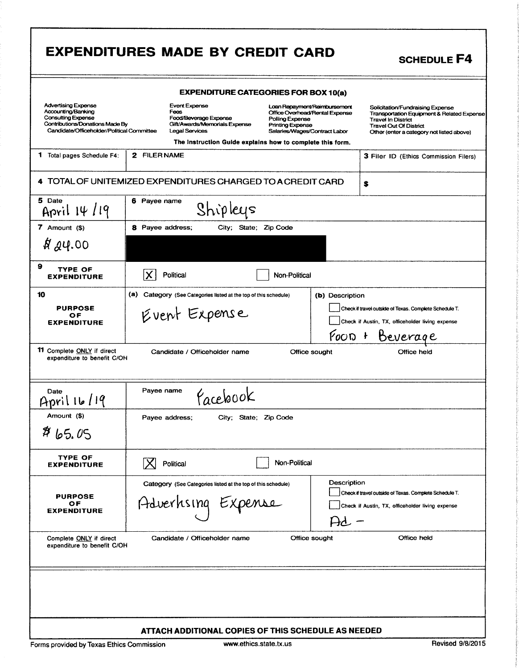|                                                                                                                                                                | <b>EXPENDITURES MADE BY CREDIT CARD</b>                                                                         |                                                                                                                                                                                                            | <b>SCHEDULE F4</b>                                                                                                                                                                        |
|----------------------------------------------------------------------------------------------------------------------------------------------------------------|-----------------------------------------------------------------------------------------------------------------|------------------------------------------------------------------------------------------------------------------------------------------------------------------------------------------------------------|-------------------------------------------------------------------------------------------------------------------------------------------------------------------------------------------|
|                                                                                                                                                                |                                                                                                                 | <b>EXPENDITURE CATEGORIES FOR BOX 10(a)</b>                                                                                                                                                                |                                                                                                                                                                                           |
| <b>Advertising Expense</b><br>Accounting/Banking<br><b>Consulting Expense</b><br>Contributions/Donations Made By<br>Candidate/Officeholder/Political Committee | <b>Event Expense</b><br>Fees<br>Food/Beverage Expense<br>Gift/Awards/Memorials Expense<br><b>Legal Services</b> | Loan Repayment/Reimbursement<br>Office Overhead/Rental Expense<br>Polling Expense<br><b>Printing Expense</b><br>Salaries/Wages/Contract Labor<br>The Instruction Guide explains how to complete this form. | Solicitation/Fundraising Expense<br>Transportation Equipment & Related Expense<br><b>Travel In District</b><br><b>Travel Out Of District</b><br>Other (enter a category not listed above) |
| 1 Total pages Schedule F4:                                                                                                                                     | 2 FILER NAME                                                                                                    |                                                                                                                                                                                                            | <b>3 Filer ID (Ethics Commission Filers)</b>                                                                                                                                              |
|                                                                                                                                                                | 4 TOTAL OF UNITEMIZED EXPENDITURES CHARGED TO A CREDIT CARD                                                     |                                                                                                                                                                                                            | \$                                                                                                                                                                                        |
| 5 Date<br>April 14/19                                                                                                                                          | 6 Payee name<br>Shipleys                                                                                        |                                                                                                                                                                                                            |                                                                                                                                                                                           |
| 7 Amount $($)$                                                                                                                                                 | 8 Payee address;<br>City: State: Zip Code                                                                       |                                                                                                                                                                                                            |                                                                                                                                                                                           |
| RQQ4.00                                                                                                                                                        |                                                                                                                 |                                                                                                                                                                                                            |                                                                                                                                                                                           |
| 9<br><b>TYPE OF</b><br><b>EXPENDITURE</b>                                                                                                                      | Political                                                                                                       | Non-Political                                                                                                                                                                                              |                                                                                                                                                                                           |
| 10<br><b>PURPOSE</b><br>ОF<br><b>EXPENDITURE</b>                                                                                                               | (a)<br>Category (See Categories listed at the top of this schedule)<br>Event Expense                            | (b) Description                                                                                                                                                                                            | Check if travel outside of Texas. Complete Schedule T.<br>Check if Austin, TX, officeholder living expense<br>Foon + Beverage                                                             |
| 11 Complete ONLY if direct<br>expenditure to benefit C/OH                                                                                                      | Candidate / Officeholder name                                                                                   | Office sought                                                                                                                                                                                              | Office held                                                                                                                                                                               |
| Date<br>April 16/19                                                                                                                                            | Payee name<br>Pacebook                                                                                          |                                                                                                                                                                                                            |                                                                                                                                                                                           |
| Amount (\$)                                                                                                                                                    | Payee address;<br>City; State; Zip Code                                                                         |                                                                                                                                                                                                            |                                                                                                                                                                                           |
| 865.05                                                                                                                                                         |                                                                                                                 |                                                                                                                                                                                                            |                                                                                                                                                                                           |
| TYPE OF<br><b>EXPENDITURE</b>                                                                                                                                  | Political                                                                                                       | Non-Political                                                                                                                                                                                              |                                                                                                                                                                                           |
| <b>PURPOSE</b><br>ОF<br><b>EXPENDITURE</b>                                                                                                                     | Category (See Categories listed at the top of this schedule)<br>Adverhising Expense                             | Description<br>Hd -                                                                                                                                                                                        | Check if travel outside of Texas. Complete Schedule T.<br>Check if Austin, TX, officeholder living expense                                                                                |
| Complete ONLY if direct<br>expenditure to benefit C/OH                                                                                                         | Candidate / Officeholder name                                                                                   | Office sought                                                                                                                                                                                              | Office held                                                                                                                                                                               |
|                                                                                                                                                                |                                                                                                                 |                                                                                                                                                                                                            |                                                                                                                                                                                           |
|                                                                                                                                                                | ATTACH ADDITIONAL COPIES OF THIS SCHEDULE AS NEEDED                                                             |                                                                                                                                                                                                            |                                                                                                                                                                                           |
| Forms provided by Texas Ethics Commission                                                                                                                      | www.ethics.state.tx.us                                                                                          |                                                                                                                                                                                                            | Revised 9/8/2015                                                                                                                                                                          |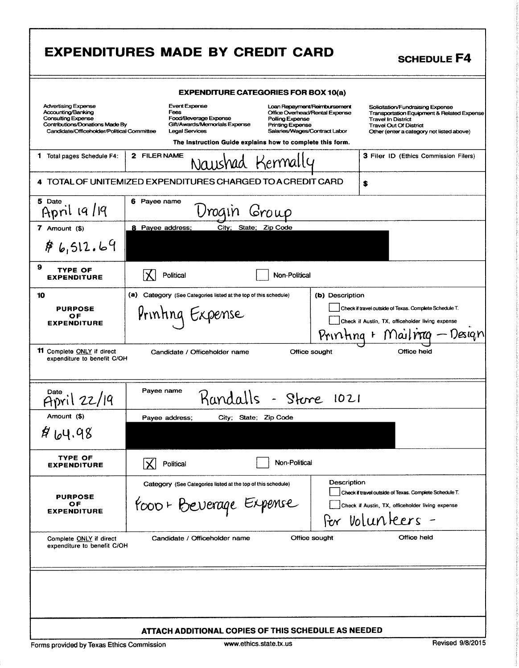|                                                                                                                                                                | <b>EXPENDITURES MADE BY CREDIT CARD</b>                                                                                                                                                                                                                                                                                       | <b>SCHEDULE F4</b>                                                                                                                                                                                   |
|----------------------------------------------------------------------------------------------------------------------------------------------------------------|-------------------------------------------------------------------------------------------------------------------------------------------------------------------------------------------------------------------------------------------------------------------------------------------------------------------------------|------------------------------------------------------------------------------------------------------------------------------------------------------------------------------------------------------|
|                                                                                                                                                                | <b>EXPENDITURE CATEGORIES FOR BOX 10(a)</b>                                                                                                                                                                                                                                                                                   |                                                                                                                                                                                                      |
| <b>Advertising Expense</b><br>Accounting/Banking<br><b>Consulting Expense</b><br>Contributions/Donations Made By<br>Candidate/Officeholder/Political Committee | <b>Event Expense</b><br>Loan Repayment/Reimbursement<br>Fees<br>Office Overhead/Rental Expense<br>Food/Beverage Expense<br>Polling Expense<br>Gift/Awards/Memorials Expense<br><b>Printing Expense</b><br><b>Legal Services</b><br>Salaries/Wages/Contract Labor<br>The Instruction Guide explains how to complete this form. | Solicitation/Fundraising Expense<br><b>Transportation Equipment &amp; Related Expense</b><br><b>Travel In District</b><br><b>Travel Out Of District</b><br>Other (enter a category not listed above) |
| 1 Total pages Schedule F4:                                                                                                                                     | 2 FILER NAME<br>Naushad Kermally                                                                                                                                                                                                                                                                                              | 3 Filer ID (Ethics Commission Filers)                                                                                                                                                                |
|                                                                                                                                                                | 4 TOTAL OF UNITEMIZED EXPENDITURES CHARGED TO A CREDIT CARD                                                                                                                                                                                                                                                                   | \$                                                                                                                                                                                                   |
| 5 Date<br>April 19/19                                                                                                                                          | 6 Payee name<br>Group                                                                                                                                                                                                                                                                                                         |                                                                                                                                                                                                      |
| 7 Amount $($)$                                                                                                                                                 | 8 Payee address;<br>City: State: Zip Code                                                                                                                                                                                                                                                                                     |                                                                                                                                                                                                      |
| \$6,512.69                                                                                                                                                     |                                                                                                                                                                                                                                                                                                                               |                                                                                                                                                                                                      |
| 9<br><b>TYPE OF</b><br><b>EXPENDITURE</b>                                                                                                                      | <b>Political</b><br><b>Non-Political</b>                                                                                                                                                                                                                                                                                      |                                                                                                                                                                                                      |
| 10<br><b>PURPOSE</b><br>ОF<br><b>EXPENDITURE</b>                                                                                                               | (a) Category (See Categories listed at the top of this schedule)<br>(b) Description<br>Printing Expense                                                                                                                                                                                                                       | Check if travel outside of Texas. Complete Schedule T.<br>Check if Austin, TX, officeholder living expense<br>Printing + Mailnag - Design                                                            |
| 11 Complete ONLY if direct<br>expenditure to benefit C/OH                                                                                                      | Candidate / Officeholder name<br>Office sought<br>Payee name<br>Kandalls - Store 1021                                                                                                                                                                                                                                         | Office held                                                                                                                                                                                          |
| 122/19<br>Amount (\$)                                                                                                                                          | City; State; Zip Code                                                                                                                                                                                                                                                                                                         |                                                                                                                                                                                                      |
| \$404.98                                                                                                                                                       | Payee address;                                                                                                                                                                                                                                                                                                                |                                                                                                                                                                                                      |
| TYPE OF<br><b>EXPENDITURE</b>                                                                                                                                  | Non-Political<br>IХ.<br>Political                                                                                                                                                                                                                                                                                             |                                                                                                                                                                                                      |
| <b>PURPOSE</b><br>ОF<br><b>EXPENDITURE</b>                                                                                                                     | Description<br>Category (See Categories listed at the top of this schedule)<br>Poor + Beverage Expense                                                                                                                                                                                                                        | Check if travel outside of Texas. Complete Schedule T.<br>Check if Austin, TX, officeholder living expense<br>For Volunteers -                                                                       |
| Complete ONLY if direct<br>expenditure to benefit C/OH                                                                                                         | Office sought<br>Candidate / Officeholder name                                                                                                                                                                                                                                                                                | Office held                                                                                                                                                                                          |
|                                                                                                                                                                |                                                                                                                                                                                                                                                                                                                               |                                                                                                                                                                                                      |
|                                                                                                                                                                | ATTACH ADDITIONAL COPIES OF THIS SCHEDULE AS NEEDED                                                                                                                                                                                                                                                                           |                                                                                                                                                                                                      |
| Forms provided by Texas Ethics Commission                                                                                                                      | www.ethics.state.tx.us                                                                                                                                                                                                                                                                                                        | <b>Revised 9/8/2015</b>                                                                                                                                                                              |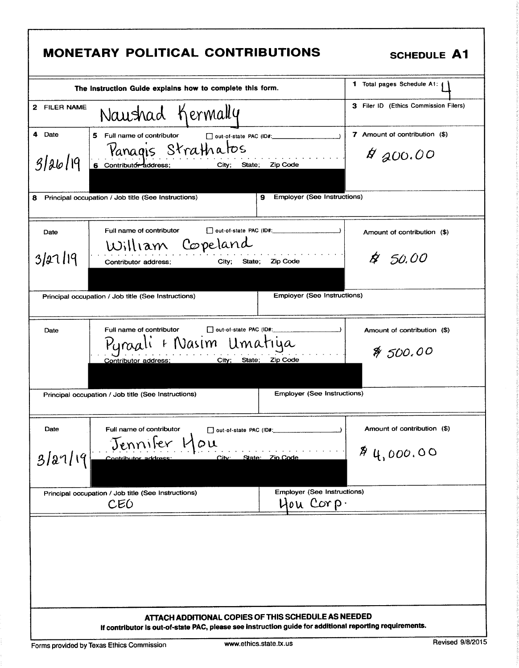|                  | <b>MONETARY POLITICAL CONTRIBUTIONS</b>                                                                                                                        | <b>SCHEDULE A1</b>                          |
|------------------|----------------------------------------------------------------------------------------------------------------------------------------------------------------|---------------------------------------------|
|                  | The Instruction Guide explains how to complete this form.                                                                                                      | 1 Total pages Schedule A1: (                |
| 2 FILER NAME     | Naushad Kermally                                                                                                                                               | 3 Filer ID (Ethics Commission Filers)       |
| 4 Date<br>312619 | 5 Full name of contributor   dut-of-state PAC (ID#: \\essequence \]<br>Panagis Strathatos<br>6 Contributor address;<br>City; State; Zip Code                   | 7 Amount of contribution (\$)<br>$A$ 200.00 |
| 8                | <b>Employer (See Instructions)</b><br>Principal occupation / Job title (See Instructions)<br>9.                                                                |                                             |
| Date             | Full name of contributor<br>out-of-state PAC (ID#:<br>William Copeland                                                                                         | Amount of contribution (\$)                 |
| 3/2119           | City; State; Zip Code<br>Contributor address;                                                                                                                  | \$ 50.00                                    |
|                  | <b>Employer (See Instructions)</b><br>Principal occupation / Job title (See Instructions)                                                                      |                                             |
| Date             | Full name of contributor<br>out-of-state PAC (ID#:<br>+ Nasim Umatiya<br>Pyraall<br>City; State; Zip Code<br>Contributor address;                              | Amount of contribution (\$)<br>% 500.00     |
|                  | Employer (See Instructions)<br>Principal occupation / Job title (See Instructions)                                                                             |                                             |
| Date             | Full name of contributor<br>out-of-state PAC (ID#:<br>Jennifer<br>$\omega$                                                                                     | Amount of contribution (\$)                 |
| 3/27/19          | City: State: Zio Code<br>Contributor address                                                                                                                   | \$4,000.00                                  |
|                  | <b>Employer (See Instructions)</b><br>Principal occupation / Job title (See Instructions)<br>Hou Corp.<br>CEO                                                  |                                             |
|                  |                                                                                                                                                                |                                             |
|                  | ATTACH ADDITIONAL COPIES OF THIS SCHEDULE AS NEEDED<br>If contributor is out-of-state PAC, please see instruction guide for additional reporting requirements. |                                             |

ı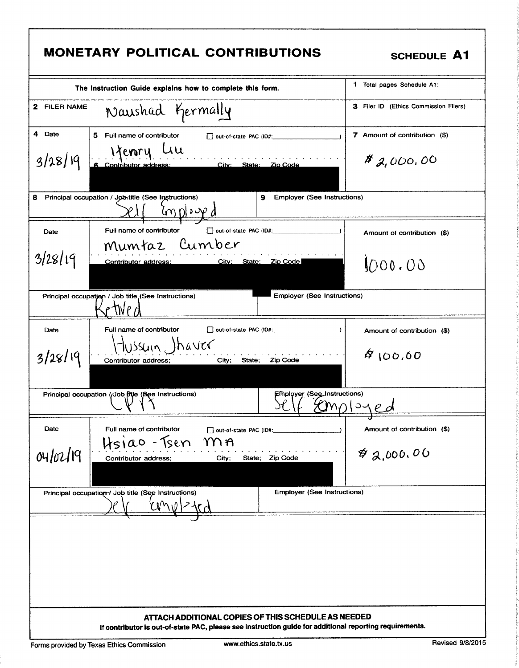|                   | The Instruction Guide explains how to complete this form.                                                                     | <b>1</b> Total pages Schedule A1:         |
|-------------------|-------------------------------------------------------------------------------------------------------------------------------|-------------------------------------------|
| 2 FILER NAME      | Naushad Germally                                                                                                              | 3 Filer ID (Ethics Commission Filers)     |
| 4 Date<br>3/28/19 | 5 Full name of contributor<br>out-of-state PAC (ID#:<br>1 Yemry Lill<br>6 Contributor address: City: State: Zio Code          | 7 Amount of contribution (\$)<br>8,000,00 |
| 8                 | Principal occupation / Job-title (See Instructions)<br><b>Employer (See Instructions)</b><br>9<br>$\omega$ of $\omega$        |                                           |
| Date              | Full name of contributor                                                                                                      | Amount of contribution (\$)               |
| 3/28/19           | Mumtaz Cumber<br>City; State; Zip Code<br>Contributor address:                                                                | 1000.00                                   |
|                   | <b>Employer (See Instructions)</b><br>Principal occupation / Job title (See Instructions)                                     |                                           |
| Date<br>3/28/19   | Full name of contributor<br>out-of-state PAC (ID#:<br>TUSSUIN, )haver<br>City; State; Zip Code<br>Contributor address;        | Amount of contribution (\$)<br>400,60     |
|                   | Employer (See_Instructions)<br>Principal occupation //Job fitle (See Instructions)                                            | MNIOYP d                                  |
| Date<br>04/02/19  | Full name of contributor<br>out-of-state PAC (ID#:<br>Hsiao - Tsen<br>m n<br>State; Zip Code<br>Contributor address;<br>City; | Amount of contribution (\$)<br>42,000.00  |
|                   | <b>Employer (See Instructions)</b><br>Principal occupation / Job title (See Instructions)                                     |                                           |
|                   | ATTACH ADDITIONAL COPIES OF THIS SCHEDULE AS NEEDED                                                                           |                                           |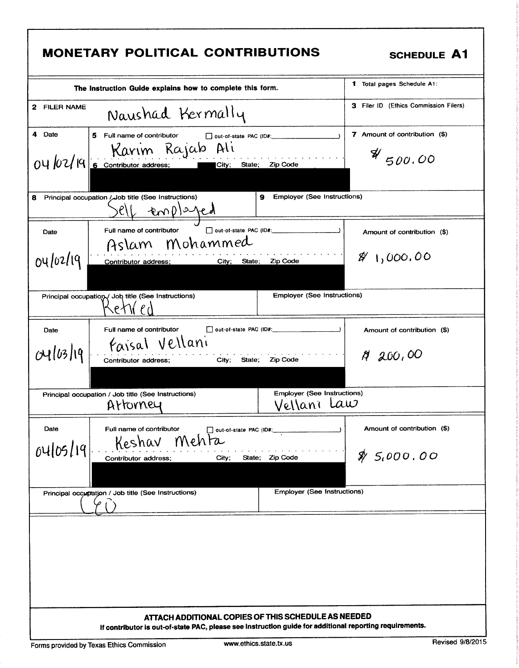|                  | <b>MONETARY POLITICAL CONTRIBUTIONS</b>                                                                                                                        | <b>SCHEDULE A1</b>                                  |
|------------------|----------------------------------------------------------------------------------------------------------------------------------------------------------------|-----------------------------------------------------|
|                  | The Instruction Guide explains how to complete this form.                                                                                                      | 1 Total pages Schedule A1:                          |
| 2 FILER NAME     | Naushad Kermally                                                                                                                                               | 3 Filer ID (Ethics Commission Filers)               |
| 4 Date           | Full name of contributor<br>5.<br>out-of-state PAC (ID#:<br>04/02/19 Ravim Rajab Ali<br>04/02/19 6 Contributor address; City; State; Zip Code                  | 7 Amount of contribution (\$)<br>$\frac{4}{500.00}$ |
| 8                | <b>Employer (See Instructions)</b><br>Principal occupation / Job title (See Instructions)<br>9<br>elf employed                                                 |                                                     |
| Date             | Full name of contributor Dout-of-state PAC (ID#:<br>Aslam Mohammed                                                                                             | Amount of contribution (\$)                         |
| 04/02/19         | Contributor address;<br>City;<br>State:<br>Zip Code                                                                                                            | $\frac{8}{1}1,000.00$                               |
|                  | <b>Employer (See Instructions)</b><br>Principal occupation / Job title (See Instructions)<br>$\left\langle \mathsf{PAW}(\ell) \right\rangle$                   |                                                     |
| Date<br>04/03/19 | Full name of contributor<br><i>Faisal</i> Vellani<br>City:<br>State;<br>Zip Code<br>Contributor address;                                                       | Amount of contribution (\$)<br>A4200,00             |
|                  | <b>Employer (See Instructions)</b><br>Principal occupation / Job title (See Instructions)<br>Vellani Law<br>Artorney                                           |                                                     |
| Date             | Full name of contributor<br>out-of-state PAC (ID#:<br>Mehta<br>Keshav                                                                                          | Amount of contribution (\$)                         |
| 04/05/19         | State; Zip Code<br>City;<br>Contributor address;                                                                                                               | $\frac{1}{2}$ 5,000,00                              |
|                  | <b>Employer (See Instructions)</b><br>Principal occupation / Job title (See Instructions)                                                                      |                                                     |
|                  |                                                                                                                                                                |                                                     |
|                  | ATTACH ADDITIONAL COPIES OF THIS SCHEDULE AS NEEDED<br>If contributor is out-of-state PAC, please see instruction guide for additional reporting requirements. |                                                     |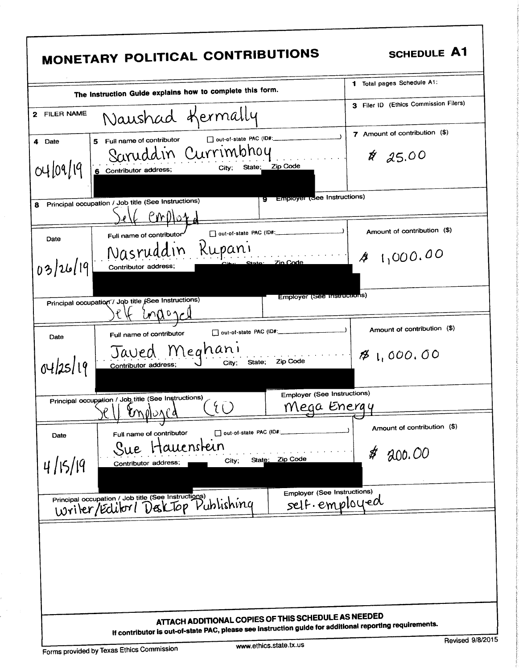| The Instruction Guide explains how to complete this form.                                                                                                              | 1 Total pages Schedule A1:                  |
|------------------------------------------------------------------------------------------------------------------------------------------------------------------------|---------------------------------------------|
| Naushad Kermally<br>2 FILER NAME                                                                                                                                       | 3 Filer ID (Ethics Commission Filers)       |
| D out-of-state PAC (ID#:_____________<br>5 Full name of contributor<br>4 Date<br>Saruddin Currimbhoy<br>04/09/19<br>State; Zip Code<br>City,<br>6 Contributor address; | 7 Amount of contribution (\$)<br>$* 25.00$  |
| 9 Employer (See Instructions)<br>Principal occupation / Job title (See Instructions)<br>$\mathcal{L}$ employ                                                           |                                             |
| D out-of-state PAC (ID#:<br>Full name of contributor<br>Date<br>Nasruddin Rupani<br>03/26/19<br>State: Zin Code<br>Contributor address;                                | Amount of contribution (\$)<br>41,000.00    |
| Employer (See instructions)<br>Principal occupation / Job title (See Instructions)<br>Unaon-1                                                                          |                                             |
| out-of-state PAC (ID#:<br>Full name of contributor<br>Date<br>Javed Meghani<br>Zip Code<br>04/25/19<br>State;<br>City;<br>Contributor address;                         | Amount of contribution (\$)<br>81,000,00    |
| <b>Employer (See Instructions)</b><br>Principal occupation / Job title (See Instructions)<br>Mega Energy<br>molonca                                                    |                                             |
| out-of-state PAC (ID#:<br>Full name of contributor<br>Date<br>tauenstein<br>Sue<br>State: Zip Code<br>City;<br>4/15/19<br>Contributor address;                         | Amount of contribution (\$)<br>200.00<br>\$ |
| <b>Employer (See Instructions)</b><br>Principal occupation / Job title (See Instructions)<br>Writer/Editor / Desktop Publishing                                        | self.employed                               |

 $\sim$